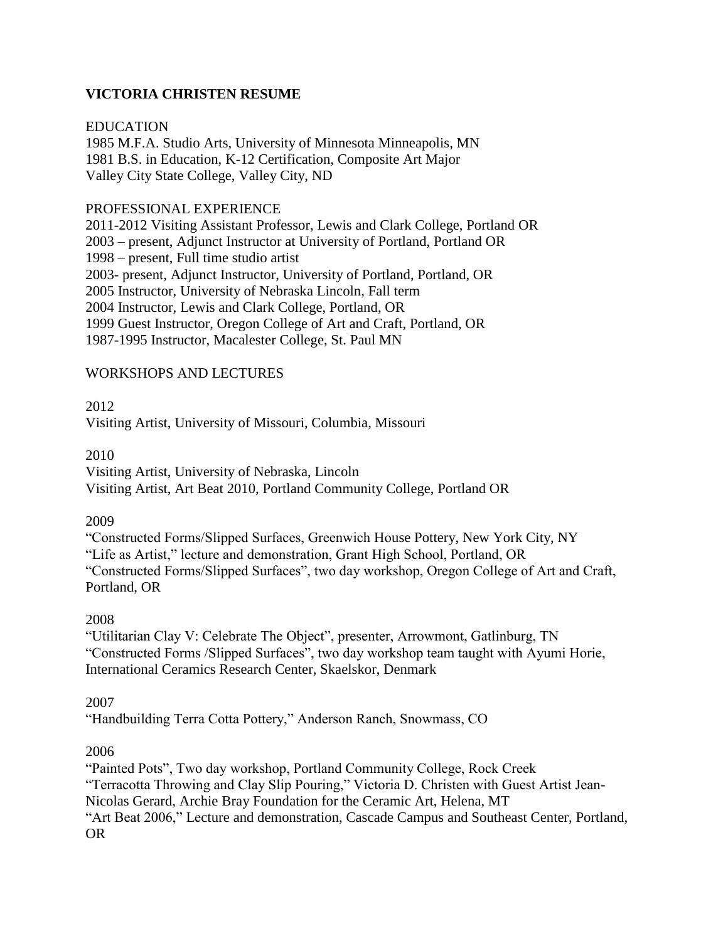### **VICTORIA CHRISTEN RESUME**

#### EDUCATION

1985 M.F.A. Studio Arts, University of Minnesota Minneapolis, MN 1981 B.S. in Education, K-12 Certification, Composite Art Major Valley City State College, Valley City, ND

#### PROFESSIONAL EXPERIENCE

2011-2012 Visiting Assistant Professor, Lewis and Clark College, Portland OR 2003 – present, Adjunct Instructor at University of Portland, Portland OR 1998 – present, Full time studio artist 2003- present, Adjunct Instructor, University of Portland, Portland, OR 2005 Instructor, University of Nebraska Lincoln, Fall term 2004 Instructor, Lewis and Clark College, Portland, OR 1999 Guest Instructor, Oregon College of Art and Craft, Portland, OR 1987-1995 Instructor, Macalester College, St. Paul MN

#### WORKSHOPS AND LECTURES

2012

Visiting Artist, University of Missouri, Columbia, Missouri

#### 2010

Visiting Artist, University of Nebraska, Lincoln Visiting Artist, Art Beat 2010, Portland Community College, Portland OR

#### 2009

"Constructed Forms/Slipped Surfaces, Greenwich House Pottery, New York City, NY "Life as Artist," lecture and demonstration, Grant High School, Portland, OR "Constructed Forms/Slipped Surfaces", two day workshop, Oregon College of Art and Craft, Portland, OR

#### 2008

"Utilitarian Clay V: Celebrate The Object", presenter, Arrowmont, Gatlinburg, TN "Constructed Forms /Slipped Surfaces", two day workshop team taught with Ayumi Horie, International Ceramics Research Center, Skaelskor, Denmark

#### 2007

"Handbuilding Terra Cotta Pottery," Anderson Ranch, Snowmass, CO

#### 2006

"Painted Pots", Two day workshop, Portland Community College, Rock Creek "Terracotta Throwing and Clay Slip Pouring," Victoria D. Christen with Guest Artist Jean-Nicolas Gerard, Archie Bray Foundation for the Ceramic Art, Helena, MT "Art Beat 2006," Lecture and demonstration, Cascade Campus and Southeast Center, Portland, OR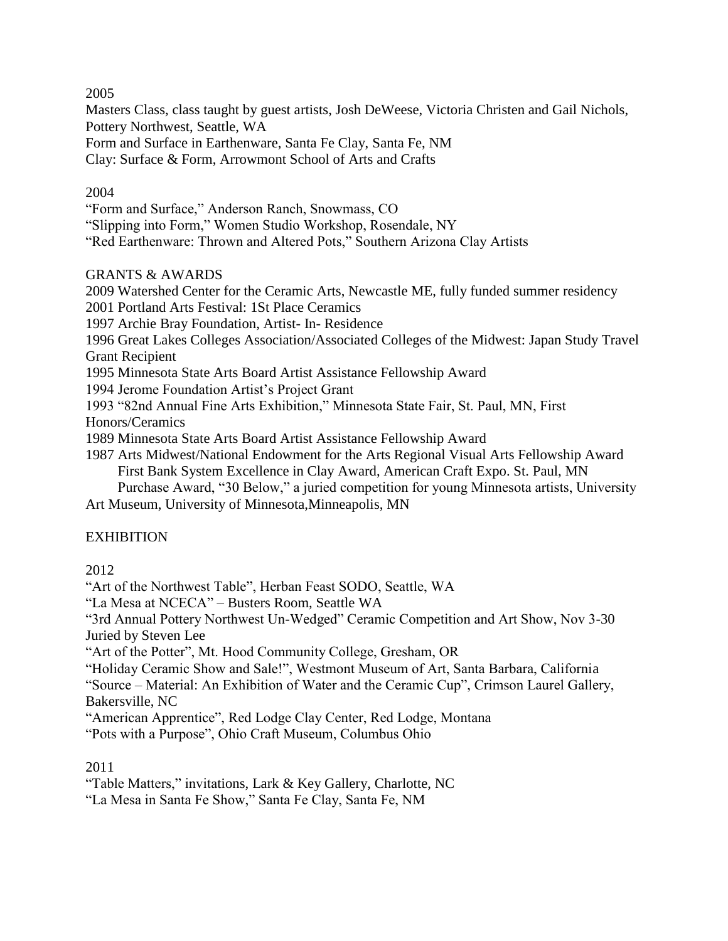2005

Masters Class, class taught by guest artists, Josh DeWeese, Victoria Christen and Gail Nichols, Pottery Northwest, Seattle, WA

Form and Surface in Earthenware, Santa Fe Clay, Santa Fe, NM

Clay: Surface & Form, Arrowmont School of Arts and Crafts

#### 2004

"Form and Surface," Anderson Ranch, Snowmass, CO

"Slipping into Form," Women Studio Workshop, Rosendale, NY

"Red Earthenware: Thrown and Altered Pots," Southern Arizona Clay Artists

#### GRANTS & AWARDS

2009 Watershed Center for the Ceramic Arts, Newcastle ME, fully funded summer residency 2001 Portland Arts Festival: 1St Place Ceramics

1997 Archie Bray Foundation, Artist- In- Residence

1996 Great Lakes Colleges Association/Associated Colleges of the Midwest: Japan Study Travel Grant Recipient

1995 Minnesota State Arts Board Artist Assistance Fellowship Award

1994 Jerome Foundation Artist's Project Grant

1993 "82nd Annual Fine Arts Exhibition," Minnesota State Fair, St. Paul, MN, First

Honors/Ceramics

1989 Minnesota State Arts Board Artist Assistance Fellowship Award

1987 Arts Midwest/National Endowment for the Arts Regional Visual Arts Fellowship Award 1987 First Bank System Excellence in Clay Award, American Craft Expo. St. Paul, MN Purchase Award, "30 Below," a juried competition for young Minnesota artists, University Art Museum, University of Minnesota,Minneapolis, MN

#### **EXHIBITION**

2012

"Art of the Northwest Table", Herban Feast SODO, Seattle, WA

"La Mesa at NCECA" – Busters Room, Seattle WA

"3rd Annual Pottery Northwest Un-Wedged" Ceramic Competition and Art Show, Nov 3-30 Juried by Steven Lee

"Art of the Potter", Mt. Hood Community College, Gresham, OR

"Holiday Ceramic Show and Sale!", Westmont Museum of Art, Santa Barbara, California

"Source – Material: An Exhibition of Water and the Ceramic Cup", Crimson Laurel Gallery, Bakersville, NC

"American Apprentice", Red Lodge Clay Center, Red Lodge, Montana

"Pots with a Purpose", Ohio Craft Museum, Columbus Ohio

#### 2011

"Table Matters," invitations, Lark & Key Gallery, Charlotte, NC

"La Mesa in Santa Fe Show," Santa Fe Clay, Santa Fe, NM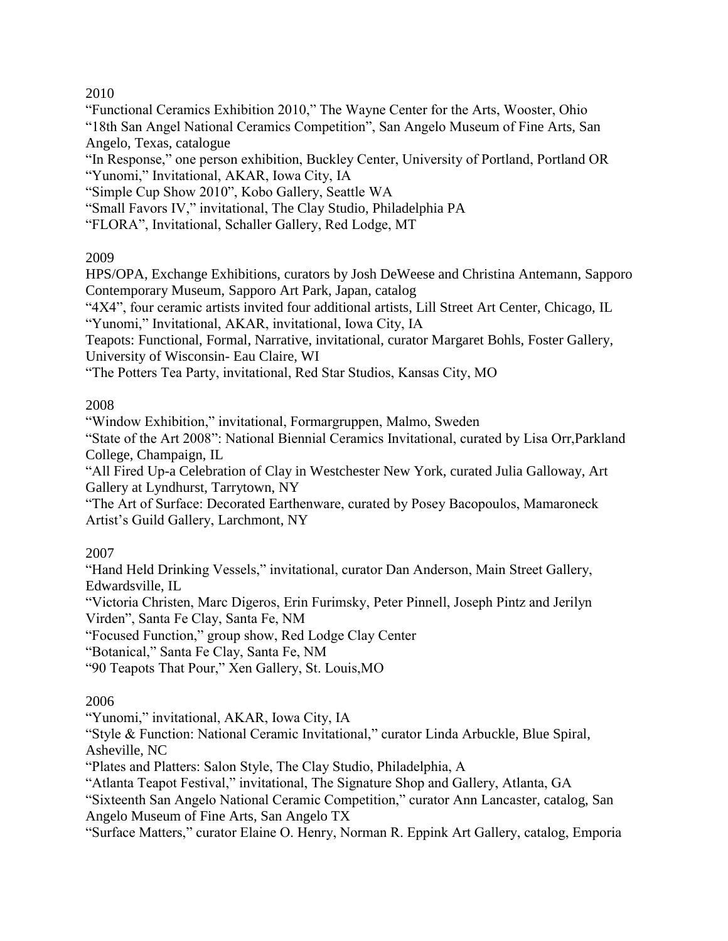### 2010

"Functional Ceramics Exhibition 2010," The Wayne Center for the Arts, Wooster, Ohio "18th San Angel National Ceramics Competition", San Angelo Museum of Fine Arts, San Angelo, Texas, catalogue

"In Response," one person exhibition, Buckley Center, University of Portland, Portland OR "Yunomi," Invitational, AKAR, Iowa City, IA

"Simple Cup Show 2010", Kobo Gallery, Seattle WA

"Small Favors IV," invitational, The Clay Studio, Philadelphia PA

"FLORA", Invitational, Schaller Gallery, Red Lodge, MT

# 2009

HPS/OPA, Exchange Exhibitions, curators by Josh DeWeese and Christina Antemann, Sapporo Contemporary Museum, Sapporo Art Park, Japan, catalog

"4X4", four ceramic artists invited four additional artists, Lill Street Art Center, Chicago, IL "Yunomi," Invitational, AKAR, invitational, Iowa City, IA

Teapots: Functional, Formal, Narrative, invitational, curator Margaret Bohls, Foster Gallery, University of Wisconsin- Eau Claire, WI

"The Potters Tea Party, invitational, Red Star Studios, Kansas City, MO

### 2008

"Window Exhibition," invitational, Formargruppen, Malmo, Sweden

"State of the Art 2008": National Biennial Ceramics Invitational, curated by Lisa Orr,Parkland College, Champaign, IL

"All Fired Up-a Celebration of Clay in Westchester New York, curated Julia Galloway, Art Gallery at Lyndhurst, Tarrytown, NY

"The Art of Surface: Decorated Earthenware, curated by Posey Bacopoulos, Mamaroneck Artist's Guild Gallery, Larchmont, NY

# 2007

"Hand Held Drinking Vessels," invitational, curator Dan Anderson, Main Street Gallery, Edwardsville, IL

"Victoria Christen, Marc Digeros, Erin Furimsky, Peter Pinnell, Joseph Pintz and Jerilyn Virden", Santa Fe Clay, Santa Fe, NM

"Focused Function," group show, Red Lodge Clay Center

"Botanical," Santa Fe Clay, Santa Fe, NM

"90 Teapots That Pour," Xen Gallery, St. Louis,MO

# 2006

"Yunomi," invitational, AKAR, Iowa City, IA

"Style & Function: National Ceramic Invitational," curator Linda Arbuckle, Blue Spiral, Asheville, NC

"Plates and Platters: Salon Style, The Clay Studio, Philadelphia, A

"Atlanta Teapot Festival," invitational, The Signature Shop and Gallery, Atlanta, GA

"Sixteenth San Angelo National Ceramic Competition," curator Ann Lancaster, catalog, San Angelo Museum of Fine Arts, San Angelo TX

"Surface Matters," curator Elaine O. Henry, Norman R. Eppink Art Gallery, catalog, Emporia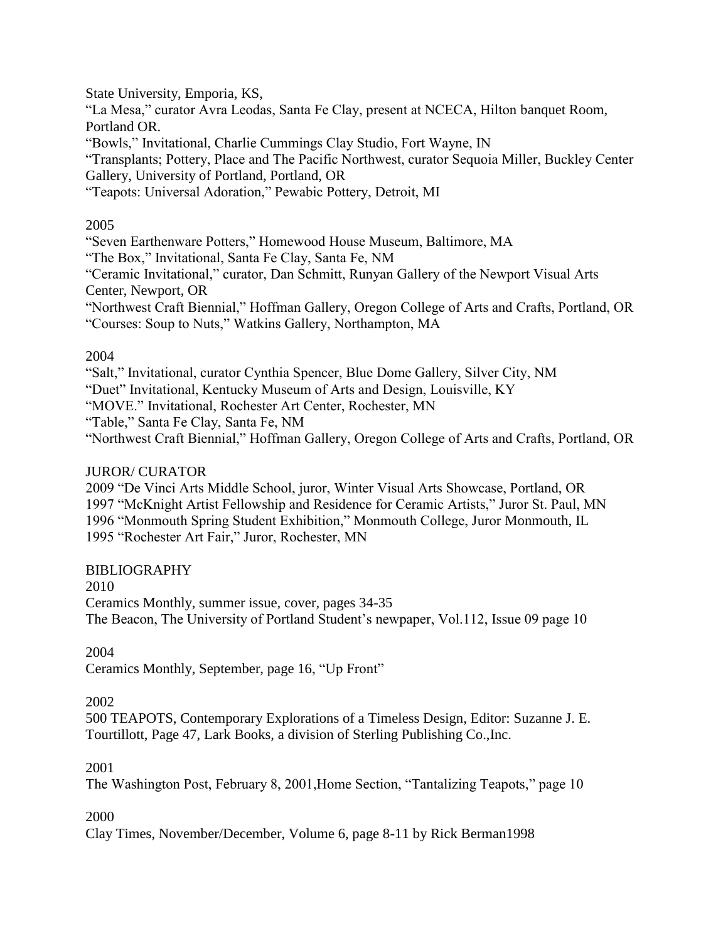State University, Emporia, KS,

"La Mesa," curator Avra Leodas, Santa Fe Clay, present at NCECA, Hilton banquet Room, Portland OR.

"Bowls," Invitational, Charlie Cummings Clay Studio, Fort Wayne, IN

"Transplants; Pottery, Place and The Pacific Northwest, curator Sequoia Miller, Buckley Center Gallery, University of Portland, Portland, OR

"Teapots: Universal Adoration," Pewabic Pottery, Detroit, MI

### 2005

"Seven Earthenware Potters," Homewood House Museum, Baltimore, MA

"The Box," Invitational, Santa Fe Clay, Santa Fe, NM

"Ceramic Invitational," curator, Dan Schmitt, Runyan Gallery of the Newport Visual Arts Center, Newport, OR

"Northwest Craft Biennial," Hoffman Gallery, Oregon College of Arts and Crafts, Portland, OR "Courses: Soup to Nuts," Watkins Gallery, Northampton, MA

### 2004

"Salt," Invitational, curator Cynthia Spencer, Blue Dome Gallery, Silver City, NM

"Duet" Invitational, Kentucky Museum of Arts and Design, Louisville, KY

"MOVE." Invitational, Rochester Art Center, Rochester, MN

"Table," Santa Fe Clay, Santa Fe, NM

"Northwest Craft Biennial," Hoffman Gallery, Oregon College of Arts and Crafts, Portland, OR

### JUROR/ CURATOR

2009 "De Vinci Arts Middle School, juror, Winter Visual Arts Showcase, Portland, OR 1997 "McKnight Artist Fellowship and Residence for Ceramic Artists," Juror St. Paul, MN 1996 "Monmouth Spring Student Exhibition," Monmouth College, Juror Monmouth, IL 1995 "Rochester Art Fair," Juror, Rochester, MN

# BIBLIOGRAPHY

2010

Ceramics Monthly, summer issue, cover, pages 34-35 The Beacon, The University of Portland Student's newpaper, Vol.112, Issue 09 page 10

# 2004

Ceramics Monthly, September, page 16, "Up Front"

# 2002

500 TEAPOTS, Contemporary Explorations of a Timeless Design, Editor: Suzanne J. E. Tourtillott, Page 47, Lark Books, a division of Sterling Publishing Co.,Inc.

# 2001

The Washington Post, February 8, 2001,Home Section, "Tantalizing Teapots," page 10

# 2000

Clay Times, November/December, Volume 6, page 8-11 by Rick Berman1998